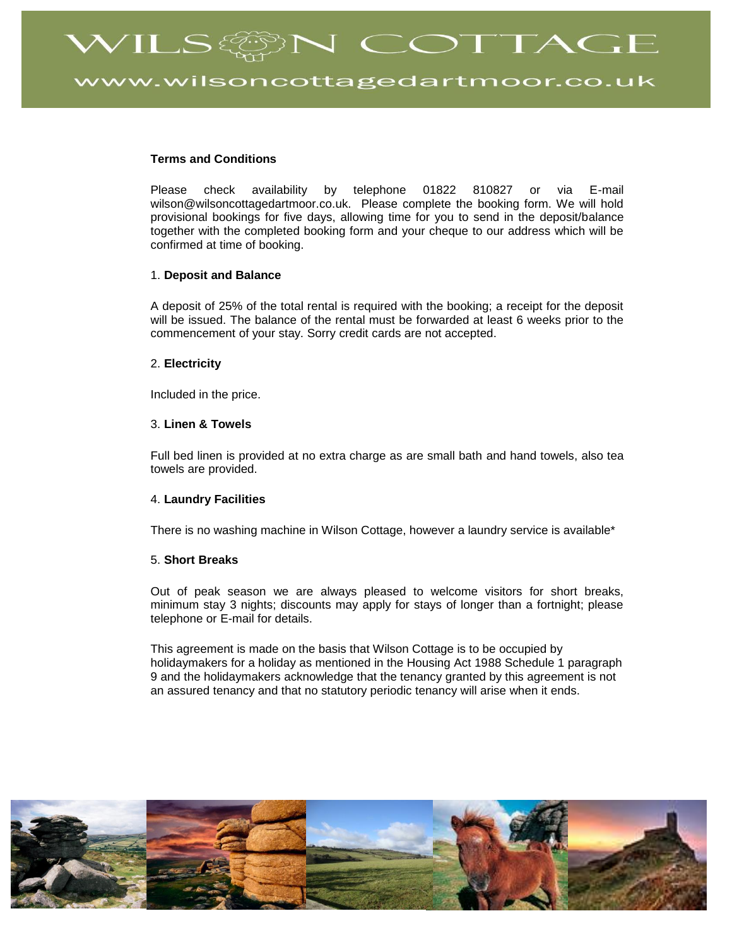WILS@N COTTAGE

vw.wilsoncottagedartmoor.co.uk

# **Terms and Conditions**

Please check availability by telephone 01822 810827 or via E-mail wilson@wilsoncottagedartmoor.co.uk. Please complete the booking form. We will hold provisional bookings for five days, allowing time for you to send in the deposit/balance together with the completed booking form and your cheque to our address which will be confirmed at time of booking.

### 1. **Deposit and Balance**

A deposit of 25% of the total rental is required with the booking; a receipt for the deposit will be issued. The balance of the rental must be forwarded at least 6 weeks prior to the commencement of your stay. Sorry credit cards are not accepted.

### 2. **Electricity**

Included in the price.

### 3. **Linen & Towels**

Full bed linen is provided at no extra charge as are small bath and hand towels, also tea towels are provided.

## 4. **Laundry Facilities**

There is no washing machine in Wilson Cottage, however a laundry service is available\*

# 5. **Short Breaks**

Out of peak season we are always pleased to welcome visitors for short breaks, minimum stay 3 nights; discounts may apply for stays of longer than a fortnight; please telephone or E-mail for details.

This agreement is made on the basis that Wilson Cottage is to be occupied by holidaymakers for a holiday as mentioned in the Housing Act 1988 Schedule 1 paragraph 9 and the holidaymakers acknowledge that the tenancy granted by this agreement is not an assured tenancy and that no statutory periodic tenancy will arise when it ends.